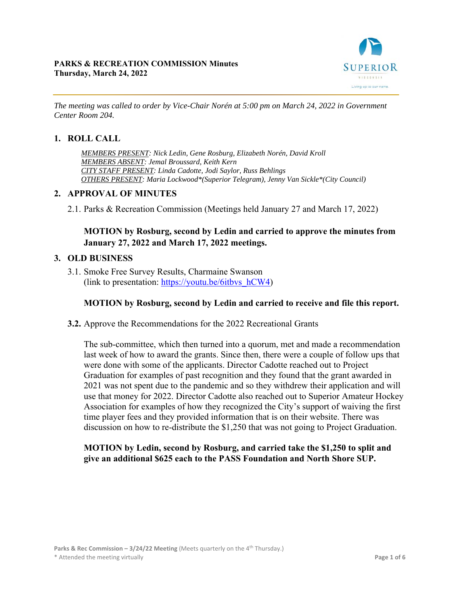

*The meeting was called to order by Vice-Chair Norén at 5:00 pm on March 24, 2022 in Government Center Room 204.* 

#### **1. ROLL CALL**

*MEMBERS PRESENT: Nick Ledin, Gene Rosburg, Elizabeth Norén, David Kroll MEMBERS ABSENT: Jemal Broussard, Keith Kern CITY STAFF PRESENT: Linda Cadotte, Jodi Saylor, Russ Behlings OTHERS PRESENT: Maria Lockwood\*(Superior Telegram), Jenny Van Sickle\*(City Council)* 

#### **2. APPROVAL OF MINUTES**

2.1. Parks & Recreation Commission (Meetings held January 27 and March 17, 2022)

# **MOTION by Rosburg, second by Ledin and carried to approve the minutes from January 27, 2022 and March 17, 2022 meetings.**

#### **3. OLD BUSINESS**

3.1. Smoke Free Survey Results, Charmaine Swanson (link to presentation: https://youtu.be/6itbvs\_hCW4)

#### **MOTION by Rosburg, second by Ledin and carried to receive and file this report.**

**3.2.** Approve the Recommendations for the 2022 Recreational Grants

The sub-committee, which then turned into a quorum, met and made a recommendation last week of how to award the grants. Since then, there were a couple of follow ups that were done with some of the applicants. Director Cadotte reached out to Project Graduation for examples of past recognition and they found that the grant awarded in 2021 was not spent due to the pandemic and so they withdrew their application and will use that money for 2022. Director Cadotte also reached out to Superior Amateur Hockey Association for examples of how they recognized the City's support of waiving the first time player fees and they provided information that is on their website. There was discussion on how to re-distribute the \$1,250 that was not going to Project Graduation.

### **MOTION by Ledin, second by Rosburg, and carried take the \$1,250 to split and give an additional \$625 each to the PASS Foundation and North Shore SUP.**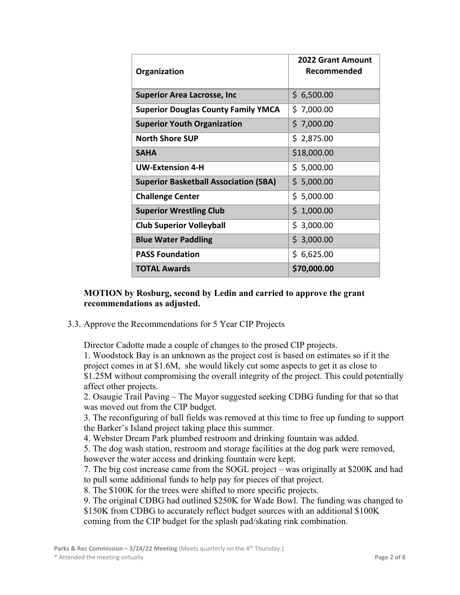| Organization                                 | <b>2022 Grant Amount</b><br>Recommended |
|----------------------------------------------|-----------------------------------------|
| <b>Superior Area Lacrosse, Inc</b>           | \$6,500.00                              |
| <b>Superior Douglas County Family YMCA</b>   | \$7,000.00                              |
| <b>Superior Youth Organization</b>           | \$7,000.00                              |
| <b>North Shore SUP</b>                       | \$2,875.00                              |
| <b>SAHA</b>                                  | \$18,000.00                             |
| <b>UW-Extension 4-H</b>                      | \$5,000.00                              |
| <b>Superior Basketball Association (SBA)</b> | \$5,000.00                              |
| <b>Challenge Center</b>                      | \$5,000.00                              |
| <b>Superior Wrestling Club</b>               | \$1,000.00                              |
| <b>Club Superior Volleyball</b>              | \$3,000.00                              |
| <b>Blue Water Paddling</b>                   | \$3,000.00                              |
| <b>PASS Foundation</b>                       | \$6,625.00                              |
| <b>TOTAL Awards</b>                          | \$70,000.00                             |

#### **MOTION by Rosburg, second by Ledin and carried to approve the grant recommendations as adjusted.**

3.3. Approve the Recommendations for 5 Year CIP Projects

Director Cadotte made a couple of changes to the prosed CIP projects.

1. Woodstock Bay is an unknown as the project cost is based on estimates so if it the project comes in at \$1.6M, she would likely cut some aspects to get it as close to \$1.25M without compromising the overall integrity of the project. This could potentially affect other projects.

2. Osaugie Trail Paving – The Mayor suggested seeking CDBG funding for that so that was moved out from the CIP budget.

3. The reconfiguring of ball fields was removed at this time to free up funding to support the Barker's Island project taking place this summer.

4. Webster Dream Park plumbed restroom and drinking fountain was added.

5. The dog wash station, restroom and storage facilities at the dog park were removed, however the water access and drinking fountain were kept.

7. The big cost increase came from the SOGL project – was originally at \$200K and had to pull some additional funds to help pay for pieces of that project.

8. The \$100K for the trees were shifted to more specific projects.

9. The original CDBG had outlined \$250K for Wade Bowl. The funding was changed to \$150K from CDBG to accurately reflect budget sources with an additional \$100K coming from the CIP budget for the splash pad/skating rink combination.

Parks & Rec Commission - 3/24/22 Meeting (Meets quarterly on the 4<sup>th</sup> Thursday.)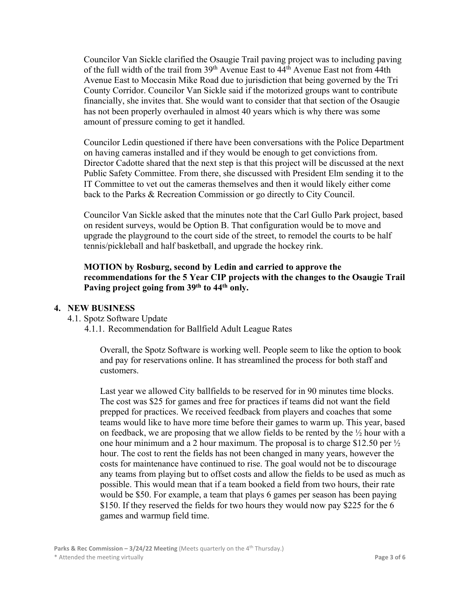Councilor Van Sickle clarified the Osaugie Trail paving project was to including paving of the full width of the trail from  $39<sup>th</sup>$  Avenue East to  $44<sup>th</sup>$  Avenue East not from 44th Avenue East to Moccasin Mike Road due to jurisdiction that being governed by the Tri County Corridor. Councilor Van Sickle said if the motorized groups want to contribute financially, she invites that. She would want to consider that that section of the Osaugie has not been properly overhauled in almost 40 years which is why there was some amount of pressure coming to get it handled.

Councilor Ledin questioned if there have been conversations with the Police Department on having cameras installed and if they would be enough to get convictions from. Director Cadotte shared that the next step is that this project will be discussed at the next Public Safety Committee. From there, she discussed with President Elm sending it to the IT Committee to vet out the cameras themselves and then it would likely either come back to the Parks & Recreation Commission or go directly to City Council.

Councilor Van Sickle asked that the minutes note that the Carl Gullo Park project, based on resident surveys, would be Option B. That configuration would be to move and upgrade the playground to the court side of the street, to remodel the courts to be half tennis/pickleball and half basketball, and upgrade the hockey rink.

### **MOTION by Rosburg, second by Ledin and carried to approve the recommendations for the 5 Year CIP projects with the changes to the Osaugie Trail Paving project going from 39th to 44th only.**

#### **4. NEW BUSINESS**

- 4.1. Spotz Software Update
	- 4.1.1. Recommendation for Ballfield Adult League Rates

Overall, the Spotz Software is working well. People seem to like the option to book and pay for reservations online. It has streamlined the process for both staff and customers.

Last year we allowed City ballfields to be reserved for in 90 minutes time blocks. The cost was \$25 for games and free for practices if teams did not want the field prepped for practices. We received feedback from players and coaches that some teams would like to have more time before their games to warm up. This year, based on feedback, we are proposing that we allow fields to be rented by the  $\frac{1}{2}$  hour with a one hour minimum and a 2 hour maximum. The proposal is to charge \$12.50 per  $\frac{1}{2}$ hour. The cost to rent the fields has not been changed in many years, however the costs for maintenance have continued to rise. The goal would not be to discourage any teams from playing but to offset costs and allow the fields to be used as much as possible. This would mean that if a team booked a field from two hours, their rate would be \$50. For example, a team that plays 6 games per season has been paying \$150. If they reserved the fields for two hours they would now pay \$225 for the 6 games and warmup field time.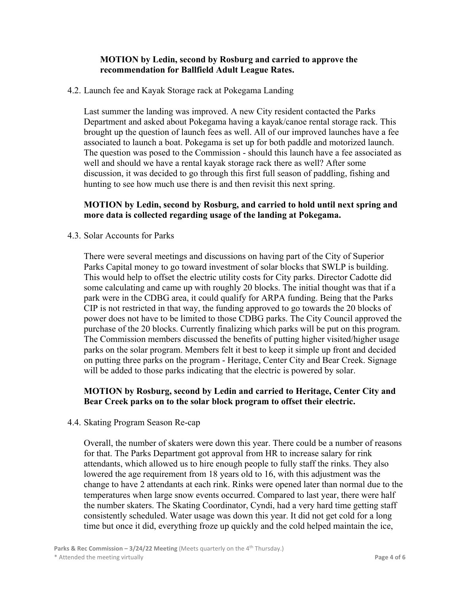#### **MOTION by Ledin, second by Rosburg and carried to approve the recommendation for Ballfield Adult League Rates.**

#### 4.2. Launch fee and Kayak Storage rack at Pokegama Landing

Last summer the landing was improved. A new City resident contacted the Parks Department and asked about Pokegama having a kayak/canoe rental storage rack. This brought up the question of launch fees as well. All of our improved launches have a fee associated to launch a boat. Pokegama is set up for both paddle and motorized launch. The question was posed to the Commission - should this launch have a fee associated as well and should we have a rental kayak storage rack there as well? After some discussion, it was decided to go through this first full season of paddling, fishing and hunting to see how much use there is and then revisit this next spring.

#### **MOTION by Ledin, second by Rosburg, and carried to hold until next spring and more data is collected regarding usage of the landing at Pokegama.**

#### 4.3. Solar Accounts for Parks

There were several meetings and discussions on having part of the City of Superior Parks Capital money to go toward investment of solar blocks that SWLP is building. This would help to offset the electric utility costs for City parks. Director Cadotte did some calculating and came up with roughly 20 blocks. The initial thought was that if a park were in the CDBG area, it could qualify for ARPA funding. Being that the Parks CIP is not restricted in that way, the funding approved to go towards the 20 blocks of power does not have to be limited to those CDBG parks. The City Council approved the purchase of the 20 blocks. Currently finalizing which parks will be put on this program. The Commission members discussed the benefits of putting higher visited/higher usage parks on the solar program. Members felt it best to keep it simple up front and decided on putting three parks on the program - Heritage, Center City and Bear Creek. Signage will be added to those parks indicating that the electric is powered by solar.

#### **MOTION by Rosburg, second by Ledin and carried to Heritage, Center City and Bear Creek parks on to the solar block program to offset their electric.**

#### 4.4. Skating Program Season Re-cap

Overall, the number of skaters were down this year. There could be a number of reasons for that. The Parks Department got approval from HR to increase salary for rink attendants, which allowed us to hire enough people to fully staff the rinks. They also lowered the age requirement from 18 years old to 16, with this adjustment was the change to have 2 attendants at each rink. Rinks were opened later than normal due to the temperatures when large snow events occurred. Compared to last year, there were half the number skaters. The Skating Coordinator, Cyndi, had a very hard time getting staff consistently scheduled. Water usage was down this year. It did not get cold for a long time but once it did, everything froze up quickly and the cold helped maintain the ice,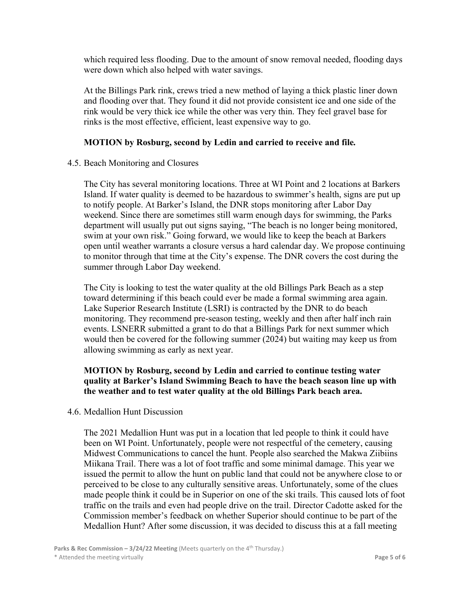which required less flooding. Due to the amount of snow removal needed, flooding days were down which also helped with water savings.

At the Billings Park rink, crews tried a new method of laying a thick plastic liner down and flooding over that. They found it did not provide consistent ice and one side of the rink would be very thick ice while the other was very thin. They feel gravel base for rinks is the most effective, efficient, least expensive way to go.

### **MOTION by Rosburg, second by Ledin and carried to receive and file***.*

#### 4.5. Beach Monitoring and Closures

The City has several monitoring locations. Three at WI Point and 2 locations at Barkers Island. If water quality is deemed to be hazardous to swimmer's health, signs are put up to notify people. At Barker's Island, the DNR stops monitoring after Labor Day weekend. Since there are sometimes still warm enough days for swimming, the Parks department will usually put out signs saying, "The beach is no longer being monitored, swim at your own risk." Going forward, we would like to keep the beach at Barkers open until weather warrants a closure versus a hard calendar day. We propose continuing to monitor through that time at the City's expense. The DNR covers the cost during the summer through Labor Day weekend.

The City is looking to test the water quality at the old Billings Park Beach as a step toward determining if this beach could ever be made a formal swimming area again. Lake Superior Research Institute (LSRI) is contracted by the DNR to do beach monitoring. They recommend pre-season testing, weekly and then after half inch rain events. LSNERR submitted a grant to do that a Billings Park for next summer which would then be covered for the following summer (2024) but waiting may keep us from allowing swimming as early as next year.

## **MOTION by Rosburg, second by Ledin and carried to continue testing water quality at Barker's Island Swimming Beach to have the beach season line up with the weather and to test water quality at the old Billings Park beach area.**

4.6. Medallion Hunt Discussion

The 2021 Medallion Hunt was put in a location that led people to think it could have been on WI Point. Unfortunately, people were not respectful of the cemetery, causing Midwest Communications to cancel the hunt. People also searched the Makwa Ziibiins Miikana Trail. There was a lot of foot traffic and some minimal damage. This year we issued the permit to allow the hunt on public land that could not be anywhere close to or perceived to be close to any culturally sensitive areas. Unfortunately, some of the clues made people think it could be in Superior on one of the ski trails. This caused lots of foot traffic on the trails and even had people drive on the trail. Director Cadotte asked for the Commission member's feedback on whether Superior should continue to be part of the Medallion Hunt? After some discussion, it was decided to discuss this at a fall meeting